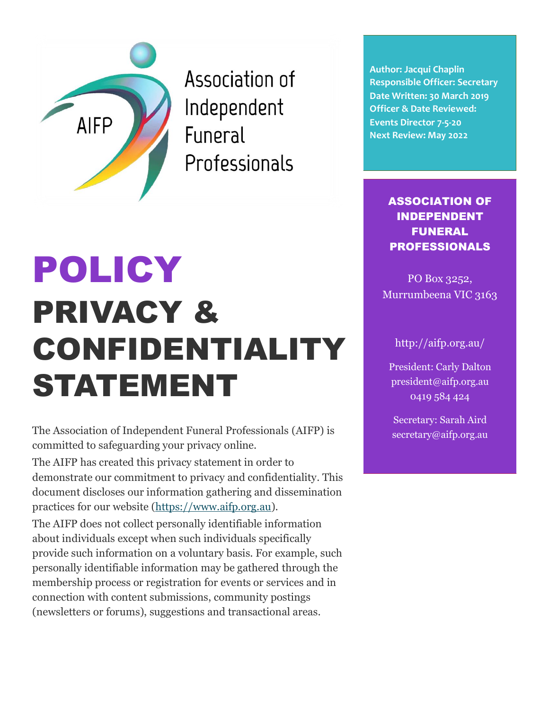

Association of Independent **Funeral** Professionals

POLICY PRIVACY & CONFIDENTIALITY STATEMENT

The Association of Independent Funeral Professionals (AIFP) is committed to safeguarding your privacy online.

The AIFP has created this privacy statement in order to demonstrate our commitment to privacy and confidentiality. This document discloses our information gathering and dissemination practices for our website [\(https://www.aifp.org.au\)](https://www.aifp.org.au/).

The AIFP does not collect personally identifiable information about individuals except when such individuals specifically provide such information on a voluntary basis. For example, such personally identifiable information may be gathered through the membership process or registration for events or services and in connection with content submissions, community postings (newsletters or forums), suggestions and transactional areas.

**Author: Jacqui Chaplin Responsible Officer: Secretary Date Written: 30 March 2019 Officer & Date Reviewed: Events Director 7-5-20 Next Review: May 2022**

> ASSOCIATION OF INDEPENDENT FUNERAL PROFESSIONALS

PO Box 3252, Murrumbeena VIC 3163

## http://aifp.org.au/

President: Carly Dalton president@aifp.org.au 0419 584 424

Secretary: Sarah Aird secretary@aifp.org.au